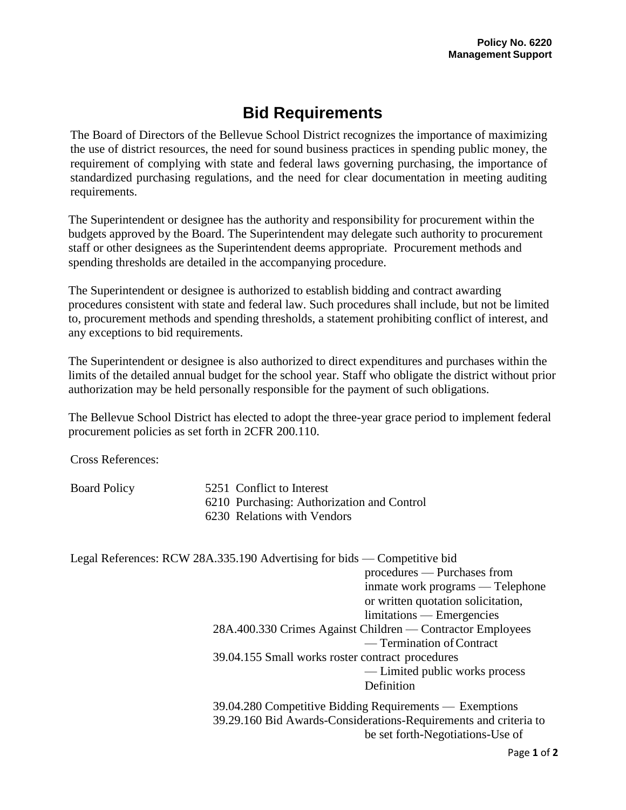## **Bid Requirements**

The Board of Directors of the Bellevue School District recognizes the importance of maximizing the use of district resources, the need for sound business practices in spending public money, the requirement of complying with state and federal laws governing purchasing, the importance of standardized purchasing regulations, and the need for clear documentation in meeting auditing requirements.

The Superintendent or designee has the authority and responsibility for procurement within the budgets approved by the Board. The Superintendent may delegate such authority to procurement staff or other designees as the Superintendent deems appropriate. Procurement methods and spending thresholds are detailed in the accompanying procedure.

The Superintendent or designee is authorized to establish bidding and contract awarding procedures consistent with state and federal law. Such procedures shall include, but not be limited to, procurement methods and spending thresholds, a statement prohibiting conflict of interest, and any exceptions to bid requirements.

The Superintendent or designee is also authorized to direct expenditures and purchases within the limits of the detailed annual budget for the school year. Staff who obligate the district without prior authorization may be held personally responsible for the payment of such obligations.

The Bellevue School District has elected to adopt the three-year grace period to implement federal procurement policies as set forth in 2CFR 200.110.

Cross References:

| <b>Board Policy</b> |  |
|---------------------|--|
|---------------------|--|

5251 Conflict to Interest 6210 Purchasing: Authorization and Control 6230 Relations with Vendors

Legal References: RCW 28A.335.190 Advertising for bids — Competitive bid procedures — Purchases from inmate work programs — Telephone or written quotation solicitation, limitations — Emergencies 28A.400.330 Crimes Against Children — Contractor Employees — Termination of Contract 39.04.155 Small works roster contract procedures — Limited public works process Definition 39.04.280 Competitive Bidding Requirements — Exemptions 39.29.160 Bid Awards-Considerations-Requirements and criteria to

be set forth-Negotiations-Use of